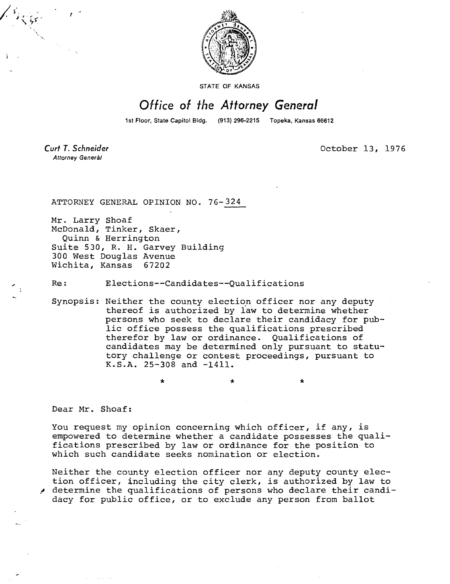

STATE OF KANSAS

## Office of the Attorney General

1st Floor, State Capitol Bldg. (913) 296-2215 Topeka, Kansas 66612

Curt T. Schneider Attorney Generàl

October 13, 1976

ATTORNEY GENERAL OPINION NO. 76-324

Mr. Larry Shoaf McDonald, Tinker, Skaer, Quinn & Herrington Suite 530, R. H. Garvey Building 300 West Douglas Avenue Wichita, Kansas 67202

Re: Elections--Candidates--Qualifications

Synopsis: Neither the county election officer nor any deputy thereof is authorized by law to determine whether persons who seek to declare their candidacy for public office possess the qualifications prescribed therefor by law or ordinance. Qualifications of candidates may be determined only pursuant to statutory challenge or contest proceedings, pursuant to K.S.A. 25-308 and -1411.

Dear Mr. Shoaf:

You request my opinion concerning which officer, if any, is empowered to determine whether a candidate possesses the qualifications prescribed by law or ordinance for the position to which such candidate seeks nomination or election.

Neither the county election officer nor any deputy county election officer, including the city clerk, is authorized by law to determine the qualifications of persons who declare their candidacy for public office, or to exclude any person from ballot